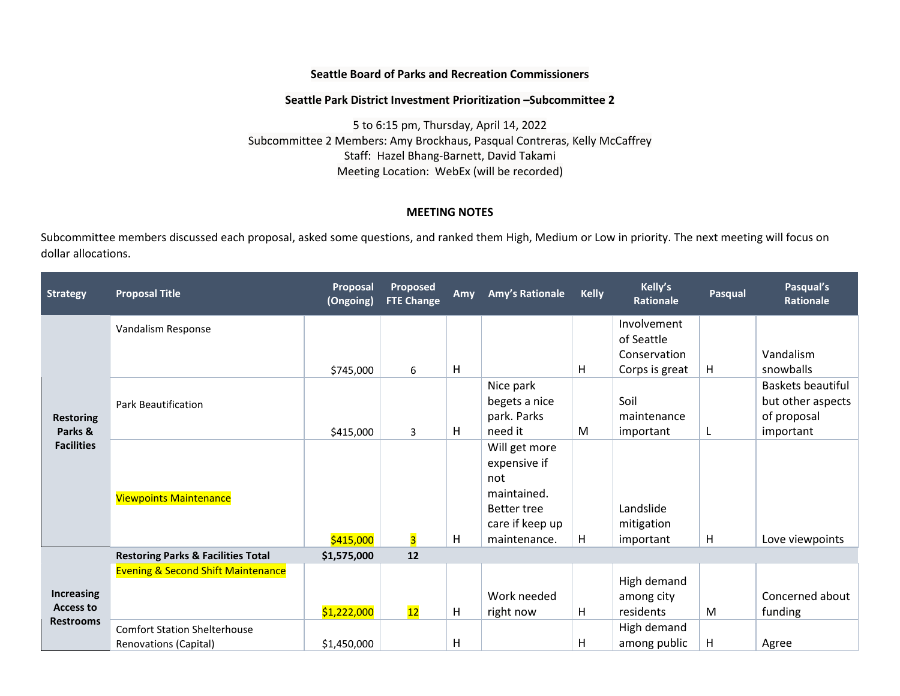## **Seattle Board of Parks and Recreation Commissioners**

## **Seattle Park District Investment Prioritization –Subcommittee 2**

5 to 6:15 pm, Thursday, April 14, 2022 Subcommittee 2 Members: Amy Brockhaus, Pasqual Contreras, Kelly McCaffrey Staff: Hazel Bhang-Barnett, David Takami Meeting Location: WebEx (will be recorded)

## **MEETING NOTES**

Subcommittee members discussed each proposal, asked some questions, and ranked them High, Medium or Low in priority. The next meeting will focus on dollar allocations.

| <b>Strategy</b>                                  | <b>Proposal Title</b>                         | Proposal<br>(Ongoing) | Proposed<br><b>FTE Change</b> | Amy | Amy's Rationale                       | <b>Kelly</b> | Kelly's<br><b>Rationale</b> | <b>Pasqual</b> | Pasqual's<br>Rationale   |
|--------------------------------------------------|-----------------------------------------------|-----------------------|-------------------------------|-----|---------------------------------------|--------------|-----------------------------|----------------|--------------------------|
|                                                  | Vandalism Response                            |                       |                               |     |                                       |              | Involvement<br>of Seattle   |                |                          |
|                                                  |                                               |                       |                               |     |                                       |              | Conservation                |                | Vandalism                |
|                                                  |                                               | \$745,000             | 6                             | H   |                                       | H            | Corps is great              | H              | snowballs                |
|                                                  |                                               |                       |                               |     | Nice park                             |              |                             |                | <b>Baskets beautiful</b> |
| <b>Restoring</b><br>Parks &<br><b>Facilities</b> | <b>Park Beautification</b>                    |                       |                               |     | begets a nice                         |              | Soil                        |                | but other aspects        |
|                                                  |                                               |                       |                               |     | park. Parks                           |              | maintenance                 |                | of proposal              |
|                                                  |                                               | \$415,000             | 3                             | н   | need it                               | M            | important                   | L              | important                |
|                                                  |                                               |                       |                               |     | Will get more                         |              |                             |                |                          |
|                                                  | <b>Viewpoints Maintenance</b>                 |                       |                               |     | expensive if                          |              |                             |                |                          |
|                                                  |                                               |                       |                               |     | not                                   |              |                             |                |                          |
|                                                  |                                               |                       |                               |     | maintained.                           |              |                             |                |                          |
|                                                  |                                               |                       |                               |     | <b>Better tree</b><br>care if keep up |              | Landslide                   |                |                          |
|                                                  |                                               | \$415,000             | $\overline{\mathbf{3}}$       | H   | maintenance.                          | H            | mitigation<br>important     | H              | Love viewpoints          |
|                                                  | <b>Restoring Parks &amp; Facilities Total</b> | \$1,575,000           | 12                            |     |                                       |              |                             |                |                          |
|                                                  | <b>Evening &amp; Second Shift Maintenance</b> |                       |                               |     |                                       |              |                             |                |                          |
|                                                  |                                               |                       |                               |     |                                       |              | High demand                 |                |                          |
| Increasing                                       |                                               |                       |                               |     | Work needed                           |              | among city                  |                | Concerned about          |
| <b>Access to</b><br><b>Restrooms</b>             |                                               | \$1,222,000           | 12                            | Н   | right now                             | H            | residents                   | M              | funding                  |
|                                                  | <b>Comfort Station Shelterhouse</b>           |                       |                               |     |                                       |              | High demand                 |                |                          |
|                                                  | Renovations (Capital)                         | \$1,450,000           |                               | н   |                                       | Η            | among public                | H              | Agree                    |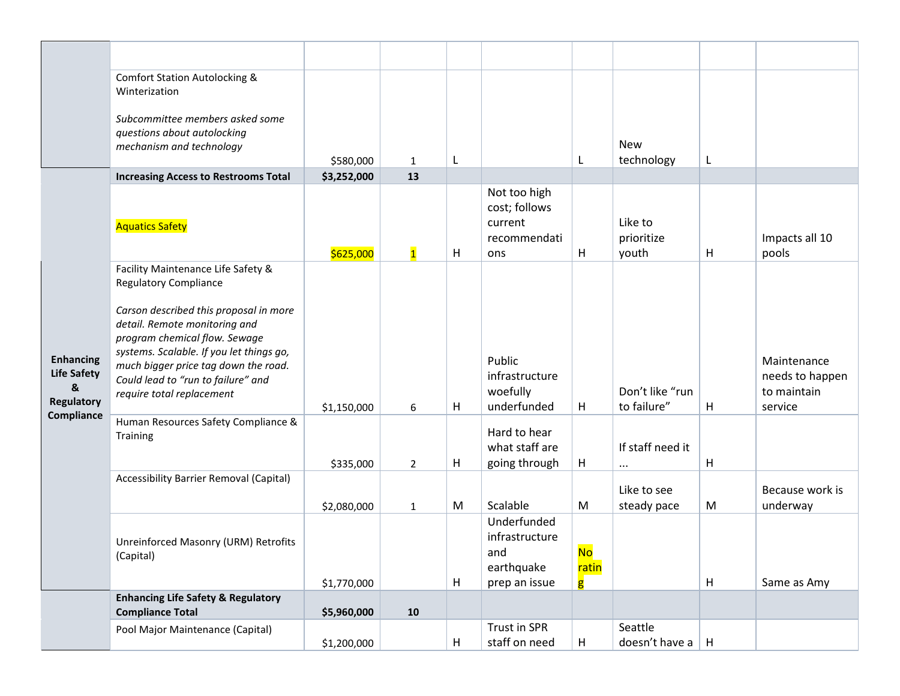|                                                                                        | <b>Comfort Station Autolocking &amp;</b><br>Winterization                                                                                                                                                                                                       |             |                         |   |                                                                     |                         |                                    |   |                                                          |
|----------------------------------------------------------------------------------------|-----------------------------------------------------------------------------------------------------------------------------------------------------------------------------------------------------------------------------------------------------------------|-------------|-------------------------|---|---------------------------------------------------------------------|-------------------------|------------------------------------|---|----------------------------------------------------------|
|                                                                                        | Subcommittee members asked some<br>questions about autolocking<br>mechanism and technology                                                                                                                                                                      | \$580,000   | $\mathbf{1}$            | L |                                                                     |                         | <b>New</b><br>technology           | L |                                                          |
|                                                                                        | <b>Increasing Access to Restrooms Total</b>                                                                                                                                                                                                                     | \$3,252,000 | 13                      |   |                                                                     |                         |                                    |   |                                                          |
|                                                                                        | <b>Aquatics Safety</b>                                                                                                                                                                                                                                          | \$625,000   | $\overline{\mathbf{1}}$ | H | Not too high<br>cost; follows<br>current<br>recommendati<br>ons     | H                       | Like to<br>prioritize<br>youth     | H | Impacts all 10<br>pools                                  |
|                                                                                        | Facility Maintenance Life Safety &<br><b>Regulatory Compliance</b>                                                                                                                                                                                              |             |                         |   |                                                                     |                         |                                    |   |                                                          |
| <b>Enhancing</b><br><b>Life Safety</b><br>$\pmb{8}$<br><b>Regulatory</b><br>Compliance | Carson described this proposal in more<br>detail. Remote monitoring and<br>program chemical flow. Sewage<br>systems. Scalable. If you let things go,<br>much bigger price tag down the road.<br>Could lead to "run to failure" and<br>require total replacement | \$1,150,000 | 6                       | H | Public<br>infrastructure<br>woefully<br>underfunded                 | H                       | Don't like "run<br>to failure"     | H | Maintenance<br>needs to happen<br>to maintain<br>service |
|                                                                                        | Human Resources Safety Compliance &<br>Training                                                                                                                                                                                                                 | \$335,000   | $\overline{2}$          | H | Hard to hear<br>what staff are<br>going through                     | H                       | If staff need it<br>$\cdots$       | H |                                                          |
|                                                                                        | Accessibility Barrier Removal (Capital)                                                                                                                                                                                                                         | \$2,080,000 | $\mathbf{1}$            | M | Scalable                                                            | M                       | Like to see<br>steady pace         | M | Because work is<br>underway                              |
|                                                                                        | Unreinforced Masonry (URM) Retrofits<br>(Capital)                                                                                                                                                                                                               | \$1,770,000 |                         | н | Underfunded<br>infrastructure<br>and<br>earthquake<br>prep an issue | <b>No</b><br>ratin<br>g |                                    | H | Same as Amy                                              |
|                                                                                        | <b>Enhancing Life Safety &amp; Regulatory</b><br><b>Compliance Total</b>                                                                                                                                                                                        | \$5,960,000 | 10                      |   |                                                                     |                         |                                    |   |                                                          |
|                                                                                        | Pool Major Maintenance (Capital)                                                                                                                                                                                                                                | \$1,200,000 |                         | H | Trust in SPR<br>staff on need                                       | H                       | Seattle<br>doesn't have $a \mid H$ |   |                                                          |